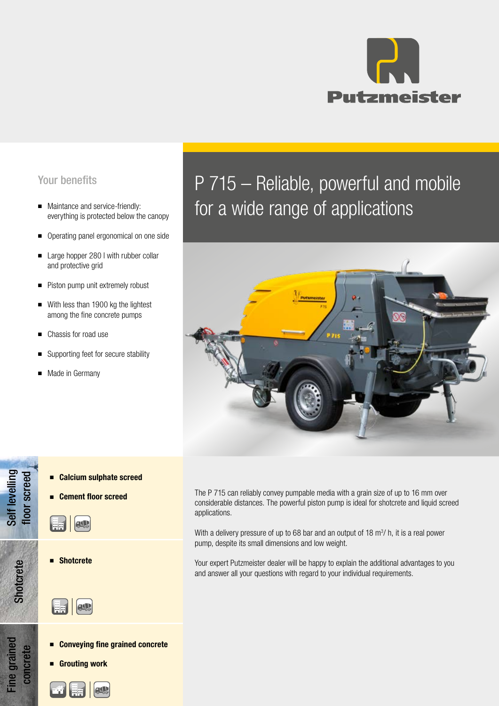

- everything is protected below the canopy
- Operating panel ergonomical on one side
- Large hopper 280 I with rubber collar and protective grid
- Piston pump unit extremely robust
- With less than 1900 kg the lightest among the fine concrete pumps
- Chassis for road use
- Supporting feet for secure stability
- Made in Germany

# Your benefits **P 715 – Reliable, powerful and mobile** ■ Maintance and service-friendly: everything is protected below the canopy **blandly** for a wide range of applications



- Calcium sulphate screed
- **Cement floor screed**

■ **AU** 

Self levelling floor screed

Self levelling<br>floor screed

Shotcrete

Fine grained concrete

**Fine grained** 

**Shotcrete** 

**ass** 

- Conveying fine grained concrete
- Grouting work



The P 715 can reliably convey pumpable media with a grain size of up to 16 mm over considerable distances. The powerful piston pump is ideal for shotcrete and liquid screed applications.

With a delivery pressure of up to 68 bar and an output of  $18 \text{ m}^3$ / h, it is a real power pump, despite its small dimensions and low weight.

Your expert Putzmeister dealer will be happy to explain the additional advantages to you and answer all your questions with regard to your individual requirements.